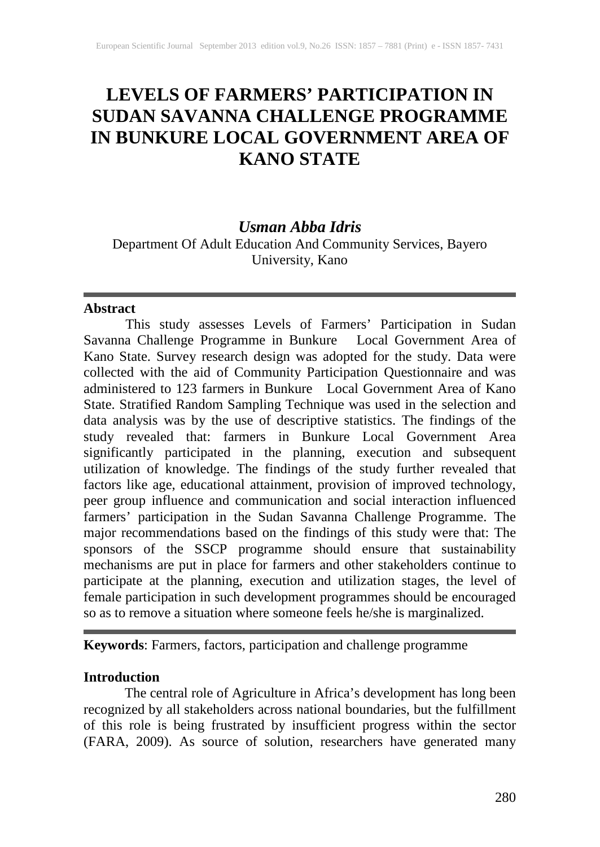# **LEVELS OF FARMERS' PARTICIPATION IN SUDAN SAVANNA CHALLENGE PROGRAMME IN BUNKURE LOCAL GOVERNMENT AREA OF KANO STATE**

### *Usman Abba Idris*

Department Of Adult Education And Community Services, Bayero University, Kano

### **Abstract**

This study assesses Levels of Farmers' Participation in Sudan Savanna Challenge Programme in Bunkure Local Government Area of Kano State. Survey research design was adopted for the study. Data were collected with the aid of Community Participation Questionnaire and was administered to 123 farmers in Bunkure Local Government Area of Kano State. Stratified Random Sampling Technique was used in the selection and data analysis was by the use of descriptive statistics. The findings of the study revealed that: farmers in Bunkure Local Government Area significantly participated in the planning, execution and subsequent utilization of knowledge. The findings of the study further revealed that factors like age, educational attainment, provision of improved technology, peer group influence and communication and social interaction influenced farmers' participation in the Sudan Savanna Challenge Programme. The major recommendations based on the findings of this study were that: The sponsors of the SSCP programme should ensure that sustainability mechanisms are put in place for farmers and other stakeholders continue to participate at the planning, execution and utilization stages, the level of female participation in such development programmes should be encouraged so as to remove a situation where someone feels he/she is marginalized.

**Keywords**: Farmers, factors, participation and challenge programme

### **Introduction**

The central role of Agriculture in Africa's development has long been recognized by all stakeholders across national boundaries, but the fulfillment of this role is being frustrated by insufficient progress within the sector (FARA, 2009). As source of solution, researchers have generated many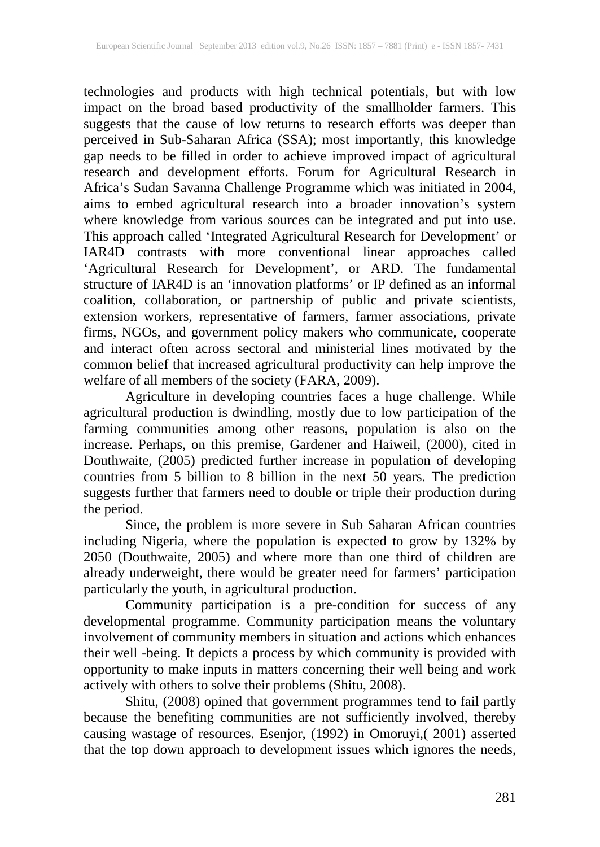technologies and products with high technical potentials, but with low impact on the broad based productivity of the smallholder farmers. This suggests that the cause of low returns to research efforts was deeper than perceived in Sub-Saharan Africa (SSA); most importantly, this knowledge gap needs to be filled in order to achieve improved impact of agricultural research and development efforts. Forum for Agricultural Research in Africa's Sudan Savanna Challenge Programme which was initiated in 2004, aims to embed agricultural research into a broader innovation's system where knowledge from various sources can be integrated and put into use. This approach called 'Integrated Agricultural Research for Development' or IAR4D contrasts with more conventional linear approaches called 'Agricultural Research for Development', or ARD. The fundamental structure of IAR4D is an 'innovation platforms' or IP defined as an informal coalition, collaboration, or partnership of public and private scientists, extension workers, representative of farmers, farmer associations, private firms, NGOs, and government policy makers who communicate, cooperate and interact often across sectoral and ministerial lines motivated by the common belief that increased agricultural productivity can help improve the welfare of all members of the society (FARA, 2009).

Agriculture in developing countries faces a huge challenge. While agricultural production is dwindling, mostly due to low participation of the farming communities among other reasons, population is also on the increase. Perhaps, on this premise, Gardener and Haiweil, (2000), cited in Douthwaite, (2005) predicted further increase in population of developing countries from 5 billion to 8 billion in the next 50 years. The prediction suggests further that farmers need to double or triple their production during the period.

Since, the problem is more severe in Sub Saharan African countries including Nigeria, where the population is expected to grow by 132% by 2050 (Douthwaite, 2005) and where more than one third of children are already underweight, there would be greater need for farmers' participation particularly the youth, in agricultural production.

Community participation is a pre-condition for success of any developmental programme. Community participation means the voluntary involvement of community members in situation and actions which enhances their well -being. It depicts a process by which community is provided with opportunity to make inputs in matters concerning their well being and work actively with others to solve their problems (Shitu, 2008).

Shitu, (2008) opined that government programmes tend to fail partly because the benefiting communities are not sufficiently involved, thereby causing wastage of resources. Esenjor, (1992) in Omoruyi,( 2001) asserted that the top down approach to development issues which ignores the needs,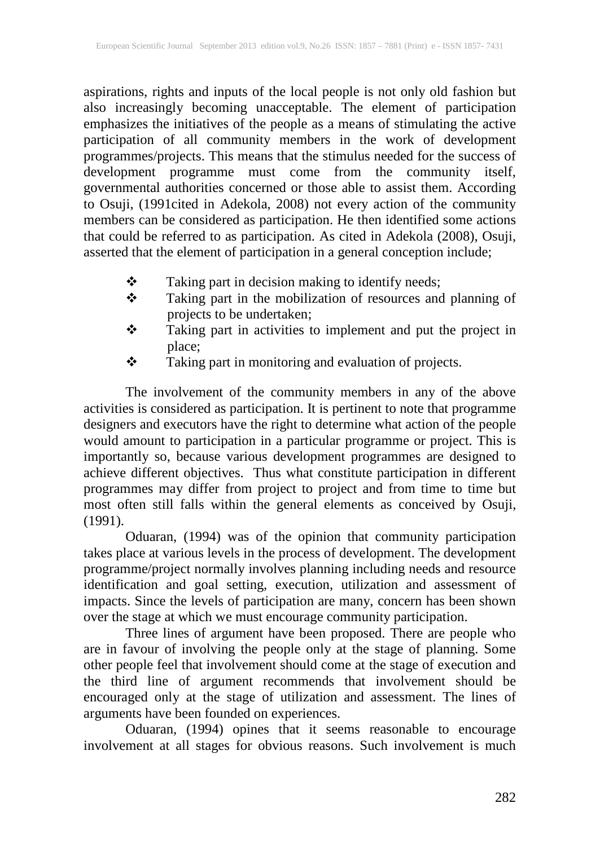aspirations, rights and inputs of the local people is not only old fashion but also increasingly becoming unacceptable. The element of participation emphasizes the initiatives of the people as a means of stimulating the active participation of all community members in the work of development programmes/projects. This means that the stimulus needed for the success of development programme must come from the community itself, governmental authorities concerned or those able to assist them. According to Osuji, (1991cited in Adekola, 2008) not every action of the community members can be considered as participation. He then identified some actions that could be referred to as participation. As cited in Adekola (2008), Osuji, asserted that the element of participation in a general conception include;

- \* Taking part in decision making to identify needs;
- Taking part in the mobilization of resources and planning of projects to be undertaken;
- \* Taking part in activities to implement and put the project in place;
- \* Taking part in monitoring and evaluation of projects.

The involvement of the community members in any of the above activities is considered as participation. It is pertinent to note that programme designers and executors have the right to determine what action of the people would amount to participation in a particular programme or project. This is importantly so, because various development programmes are designed to achieve different objectives. Thus what constitute participation in different programmes may differ from project to project and from time to time but most often still falls within the general elements as conceived by Osuji, (1991).

Oduaran, (1994) was of the opinion that community participation takes place at various levels in the process of development. The development programme/project normally involves planning including needs and resource identification and goal setting, execution, utilization and assessment of impacts. Since the levels of participation are many, concern has been shown over the stage at which we must encourage community participation.

Three lines of argument have been proposed. There are people who are in favour of involving the people only at the stage of planning. Some other people feel that involvement should come at the stage of execution and the third line of argument recommends that involvement should be encouraged only at the stage of utilization and assessment. The lines of arguments have been founded on experiences.

Oduaran, (1994) opines that it seems reasonable to encourage involvement at all stages for obvious reasons. Such involvement is much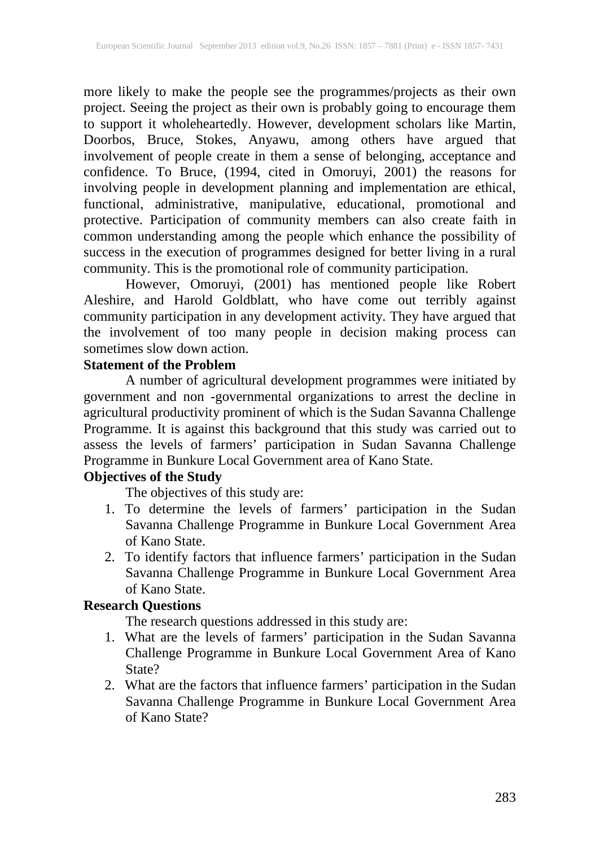more likely to make the people see the programmes/projects as their own project. Seeing the project as their own is probably going to encourage them to support it wholeheartedly. However, development scholars like Martin, Doorbos, Bruce, Stokes, Anyawu, among others have argued that involvement of people create in them a sense of belonging, acceptance and confidence. To Bruce, (1994, cited in Omoruyi, 2001) the reasons for involving people in development planning and implementation are ethical, functional, administrative, manipulative, educational, promotional and protective. Participation of community members can also create faith in common understanding among the people which enhance the possibility of success in the execution of programmes designed for better living in a rural community. This is the promotional role of community participation.

However, Omoruyi, (2001) has mentioned people like Robert Aleshire, and Harold Goldblatt, who have come out terribly against community participation in any development activity. They have argued that the involvement of too many people in decision making process can sometimes slow down action.

### **Statement of the Problem**

A number of agricultural development programmes were initiated by government and non -governmental organizations to arrest the decline in agricultural productivity prominent of which is the Sudan Savanna Challenge Programme. It is against this background that this study was carried out to assess the levels of farmers' participation in Sudan Savanna Challenge Programme in Bunkure Local Government area of Kano State.

## **Objectives of the Study**

The objectives of this study are:

- 1. To determine the levels of farmers' participation in the Sudan Savanna Challenge Programme in Bunkure Local Government Area of Kano State.
- 2. To identify factors that influence farmers' participation in the Sudan Savanna Challenge Programme in Bunkure Local Government Area of Kano State.

### **Research Questions**

The research questions addressed in this study are:

- 1. What are the levels of farmers' participation in the Sudan Savanna Challenge Programme in Bunkure Local Government Area of Kano State?
- 2. What are the factors that influence farmers' participation in the Sudan Savanna Challenge Programme in Bunkure Local Government Area of Kano State?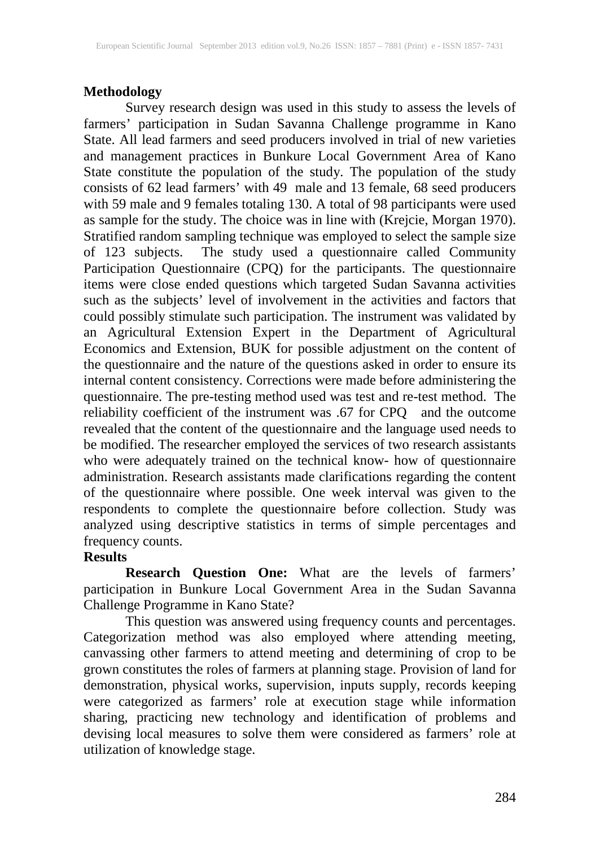### **Methodology**

Survey research design was used in this study to assess the levels of farmers' participation in Sudan Savanna Challenge programme in Kano State. All lead farmers and seed producers involved in trial of new varieties and management practices in Bunkure Local Government Area of Kano State constitute the population of the study. The population of the study consists of 62 lead farmers' with 49 male and 13 female, 68 seed producers with 59 male and 9 females totaling 130. A total of 98 participants were used as sample for the study. The choice was in line with (Krejcie, Morgan 1970). Stratified random sampling technique was employed to select the sample size of 123 subjects. The study used a questionnaire called Community Participation Questionnaire (CPQ) for the participants. The questionnaire items were close ended questions which targeted Sudan Savanna activities such as the subjects' level of involvement in the activities and factors that could possibly stimulate such participation. The instrument was validated by an Agricultural Extension Expert in the Department of Agricultural Economics and Extension, BUK for possible adjustment on the content of the questionnaire and the nature of the questions asked in order to ensure its internal content consistency. Corrections were made before administering the questionnaire. The pre-testing method used was test and re-test method. The reliability coefficient of the instrument was .67 for CPQ and the outcome revealed that the content of the questionnaire and the language used needs to be modified. The researcher employed the services of two research assistants who were adequately trained on the technical know- how of questionnaire administration. Research assistants made clarifications regarding the content of the questionnaire where possible. One week interval was given to the respondents to complete the questionnaire before collection. Study was analyzed using descriptive statistics in terms of simple percentages and frequency counts.

### **Results**

**Research Question One:** What are the levels of farmers' participation in Bunkure Local Government Area in the Sudan Savanna Challenge Programme in Kano State?

This question was answered using frequency counts and percentages. Categorization method was also employed where attending meeting, canvassing other farmers to attend meeting and determining of crop to be grown constitutes the roles of farmers at planning stage. Provision of land for demonstration, physical works, supervision, inputs supply, records keeping were categorized as farmers' role at execution stage while information sharing, practicing new technology and identification of problems and devising local measures to solve them were considered as farmers' role at utilization of knowledge stage.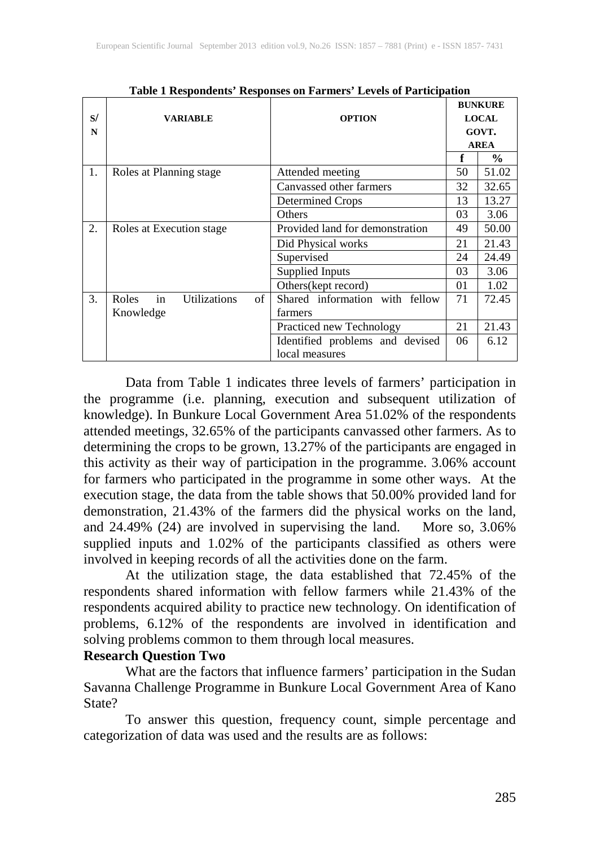|    |                                    |    |                                 | <b>BUNKURE</b> |               |
|----|------------------------------------|----|---------------------------------|----------------|---------------|
| S/ | <b>VARIABLE</b>                    |    | <b>OPTION</b>                   | <b>LOCAL</b>   |               |
| N  |                                    |    |                                 | GOVT.          |               |
|    |                                    |    |                                 | <b>AREA</b>    |               |
|    |                                    |    |                                 | f              | $\frac{0}{0}$ |
| 1. | Roles at Planning stage            |    | Attended meeting                | 50             | 51.02         |
|    |                                    |    | Canvassed other farmers         | 32             | 32.65         |
|    |                                    |    | Determined Crops                | 13             | 13.27         |
|    |                                    |    | Others                          | 03             | 3.06          |
| 2. | Roles at Execution stage           |    | Provided land for demonstration | 49             | 50.00         |
|    |                                    |    | Did Physical works              | 21             | 21.43         |
|    |                                    |    | Supervised                      | 24             | 24.49         |
|    |                                    |    | <b>Supplied Inputs</b>          | 03             | 3.06          |
|    |                                    |    | Others (kept record)            | 01             | 1.02          |
| 3. | in<br><b>Utilizations</b><br>Roles | of | Shared information with fellow  | 71             | 72.45         |
|    | Knowledge                          |    | farmers                         |                |               |
|    |                                    |    | Practiced new Technology        | 21             | 21.43         |
|    |                                    |    | Identified problems and devised | 06             | 6.12          |
|    |                                    |    | local measures                  |                |               |

**Table 1 Respondents' Responses on Farmers' Levels of Participation**

Data from Table 1 indicates three levels of farmers' participation in the programme (i.e. planning, execution and subsequent utilization of knowledge). In Bunkure Local Government Area 51.02% of the respondents attended meetings, 32.65% of the participants canvassed other farmers. As to determining the crops to be grown, 13.27% of the participants are engaged in this activity as their way of participation in the programme. 3.06% account for farmers who participated in the programme in some other ways. At the execution stage, the data from the table shows that 50.00% provided land for demonstration, 21.43% of the farmers did the physical works on the land, and 24.49% (24) are involved in supervising the land. More so, 3.06% and  $24.49\%$  (24) are involved in supervising the land. supplied inputs and 1.02% of the participants classified as others were involved in keeping records of all the activities done on the farm.

At the utilization stage, the data established that 72.45% of the respondents shared information with fellow farmers while 21.43% of the respondents acquired ability to practice new technology. On identification of problems, 6.12% of the respondents are involved in identification and solving problems common to them through local measures.

#### **Research Question Two**

What are the factors that influence farmers' participation in the Sudan Savanna Challenge Programme in Bunkure Local Government Area of Kano State?

To answer this question, frequency count, simple percentage and categorization of data was used and the results are as follows: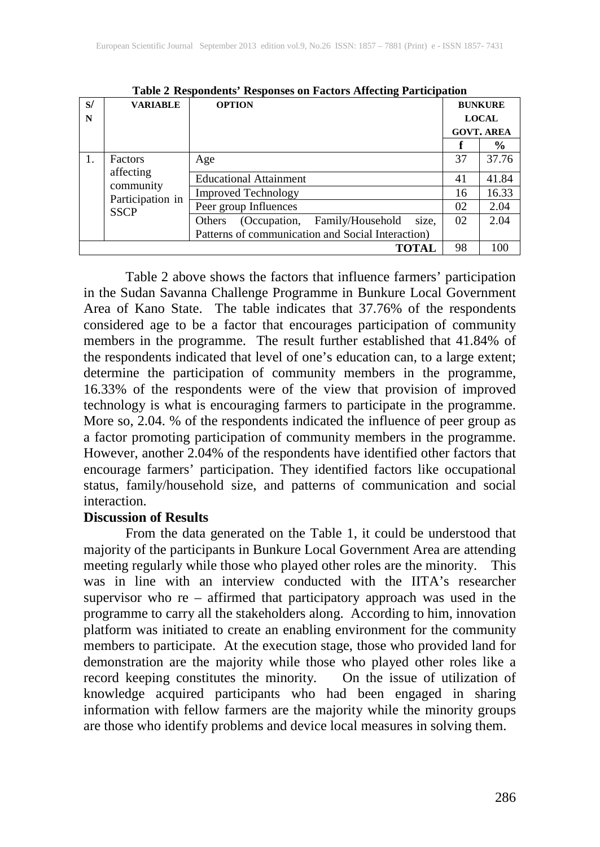| S/<br>N | <b>VARIABLE</b>                                                      | <b>OPTION</b>                                     |                   | <b>BUNKURE</b><br><b>LOCAL</b> |  |
|---------|----------------------------------------------------------------------|---------------------------------------------------|-------------------|--------------------------------|--|
|         |                                                                      |                                                   |                   |                                |  |
|         |                                                                      |                                                   | <b>GOVT. AREA</b> |                                |  |
|         |                                                                      |                                                   |                   | $\%$                           |  |
| 1.      | Factors<br>affecting<br>community<br>Participation in<br><b>SSCP</b> | Age                                               | 37                | 37.76                          |  |
|         |                                                                      | <b>Educational Attainment</b>                     | 41                | 41.84                          |  |
|         |                                                                      | <b>Improved Technology</b>                        | 16                | 16.33                          |  |
|         |                                                                      | Peer group Influences                             | 02                | 2.04                           |  |
|         |                                                                      | (Occupation, Family/Household<br>size,<br>Others  | 02                | 2.04                           |  |
|         |                                                                      | Patterns of communication and Social Interaction) |                   |                                |  |
|         | 98                                                                   | 100                                               |                   |                                |  |

**Table 2 Respondents' Responses on Factors Affecting Participation**

Table 2 above shows the factors that influence farmers' participation in the Sudan Savanna Challenge Programme in Bunkure Local Government Area of Kano State. The table indicates that 37.76% of the respondents considered age to be a factor that encourages participation of community members in the programme. The result further established that 41.84% of the respondents indicated that level of one's education can, to a large extent; determine the participation of community members in the programme, 16.33% of the respondents were of the view that provision of improved technology is what is encouraging farmers to participate in the programme. More so, 2.04. % of the respondents indicated the influence of peer group as a factor promoting participation of community members in the programme. However, another 2.04% of the respondents have identified other factors that encourage farmers' participation. They identified factors like occupational status, family/household size, and patterns of communication and social interaction.

#### **Discussion of Results**

From the data generated on the Table 1, it could be understood that majority of the participants in Bunkure Local Government Area are attending meeting regularly while those who played other roles are the minority. This was in line with an interview conducted with the IITA's researcher supervisor who re – affirmed that participatory approach was used in the programme to carry all the stakeholders along. According to him, innovation platform was initiated to create an enabling environment for the community members to participate. At the execution stage, those who provided land for demonstration are the majority while those who played other roles like a record keeping constitutes the minority. On the issue of utilization of knowledge acquired participants who had been engaged in sharing information with fellow farmers are the majority while the minority groups are those who identify problems and device local measures in solving them.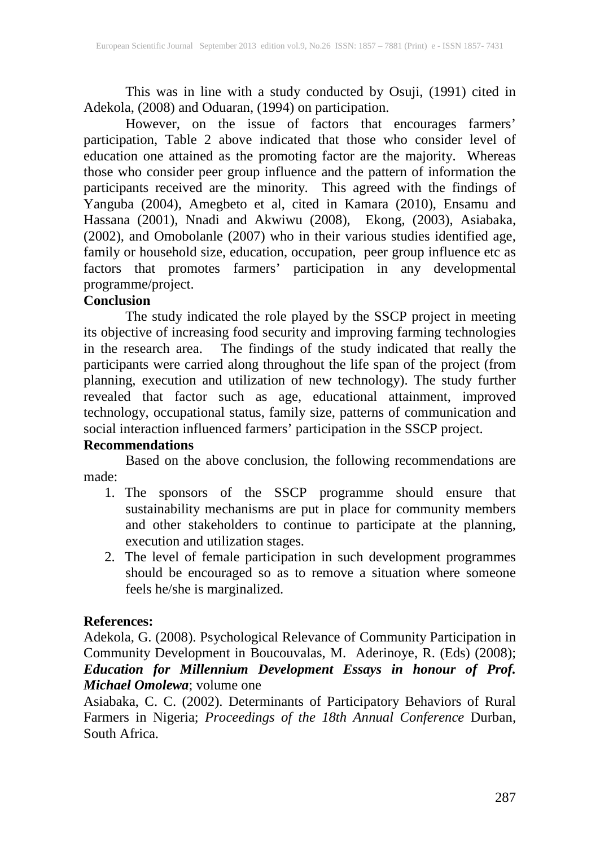This was in line with a study conducted by Osuji, (1991) cited in Adekola, (2008) and Oduaran, (1994) on participation.

However, on the issue of factors that encourages farmers' participation, Table 2 above indicated that those who consider level of education one attained as the promoting factor are the majority. Whereas those who consider peer group influence and the pattern of information the participants received are the minority. This agreed with the findings of Yanguba (2004), Amegbeto et al, cited in Kamara (2010), Ensamu and Hassana (2001), Nnadi and Akwiwu (2008), Ekong, (2003), Asiabaka, (2002), and Omobolanle (2007) who in their various studies identified age, family or household size, education, occupation, peer group influence etc as factors that promotes farmers' participation in any developmental programme/project.<br>Conclusion

### **Conclusion**

The study indicated the role played by the SSCP project in meeting its objective of increasing food security and improving farming technologies in the research area. The findings of the study indicated that really the participants were carried along throughout the life span of the project (from planning, execution and utilization of new technology). The study further revealed that factor such as age, educational attainment, improved technology, occupational status, family size, patterns of communication and social interaction influenced farmers' participation in the SSCP project.

### **Recommendations**

Based on the above conclusion, the following recommendations are made:

- 1. The sponsors of the SSCP programme should ensure that sustainability mechanisms are put in place for community members and other stakeholders to continue to participate at the planning, execution and utilization stages.
- 2. The level of female participation in such development programmes should be encouraged so as to remove a situation where someone feels he/she is marginalized.

### **References:**

Adekola, G. (2008). Psychological Relevance of Community Participation in Community Development in Boucouvalas, M. Aderinoye, R. (Eds) (2008); *Education for Millennium Development Essays in honour of Prof. Michael Omolewa*; volume one

Asiabaka, C. C. (2002). Determinants of Participatory Behaviors of Rural Farmers in Nigeria; *Proceedings of the 18th Annual Conference* Durban, South Africa.